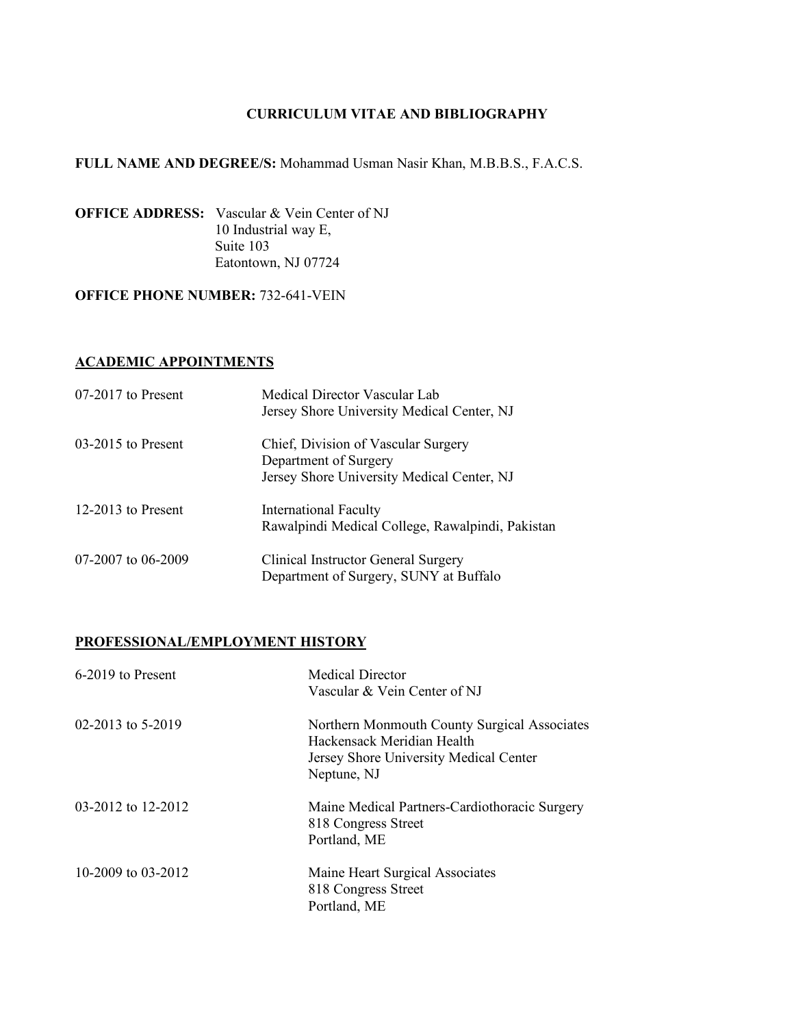# **FULL NAME AND DEGREE/S:** Mohammad Usman Nasir Khan, M.B.B.S., F.A.C.S.

**OFFICE ADDRESS:** Vascular & Vein Center of NJ 10 Industrial way E, Suite 103 Eatontown, NJ 07724

## **OFFICE PHONE NUMBER: 732-641-VEIN**

#### **ACADEMIC APPOINTMENTS**

| $07-2017$ to Present | Medical Director Vascular Lab<br>Jersey Shore University Medical Center, NJ                                |
|----------------------|------------------------------------------------------------------------------------------------------------|
| $03-2015$ to Present | Chief, Division of Vascular Surgery<br>Department of Surgery<br>Jersey Shore University Medical Center, NJ |
| 12-2013 to Present   | <b>International Faculty</b><br>Rawalpindi Medical College, Rawalpindi, Pakistan                           |
| 07-2007 to 06-2009   | Clinical Instructor General Surgery<br>Department of Surgery, SUNY at Buffalo                              |

# **PROFESSIONAL/EMPLOYMENT HISTORY**

| 6-2019 to Present  | <b>Medical Director</b><br>Vascular & Vein Center of NJ                                                                             |
|--------------------|-------------------------------------------------------------------------------------------------------------------------------------|
| 02-2013 to 5-2019  | Northern Monmouth County Surgical Associates<br>Hackensack Meridian Health<br>Jersey Shore University Medical Center<br>Neptune, NJ |
| 03-2012 to 12-2012 | Maine Medical Partners-Cardiothoracic Surgery<br>818 Congress Street<br>Portland, ME                                                |
| 10-2009 to 03-2012 | Maine Heart Surgical Associates<br>818 Congress Street<br>Portland, ME                                                              |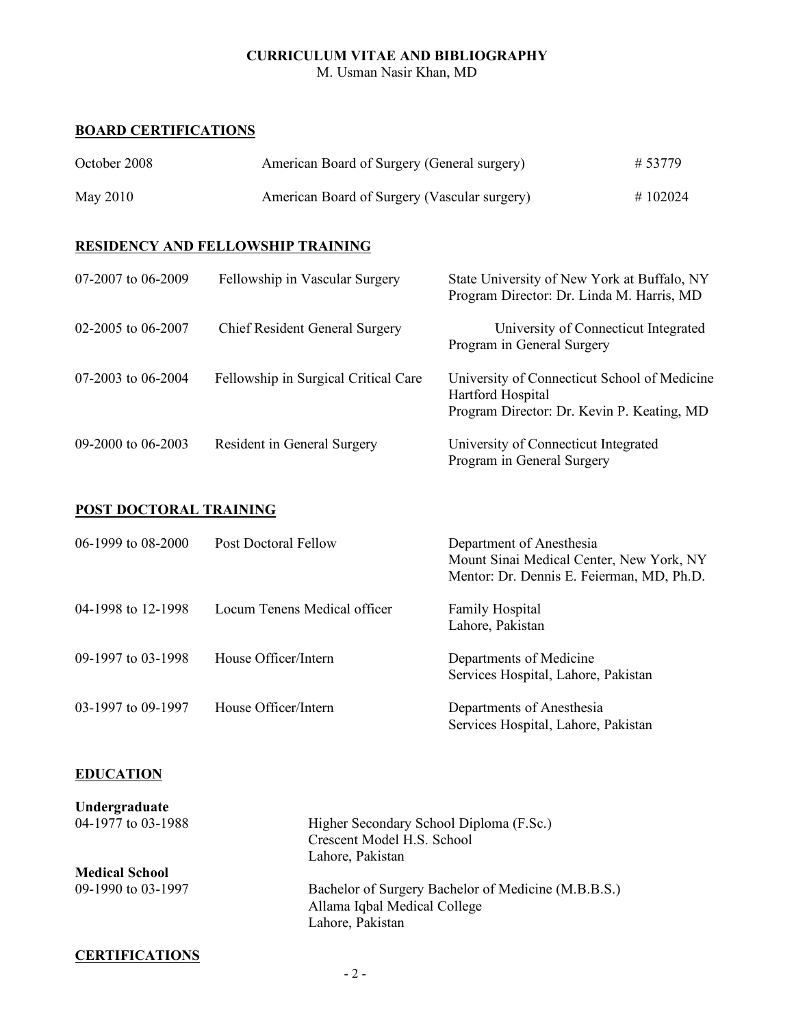M. Usman Nasir Khan, MD

#### **BOARD CERTIFICATIONS**

| October 2008 | American Board of Surgery (General surgery)  | # 53779 |
|--------------|----------------------------------------------|---------|
| May 2010     | American Board of Surgery (Vascular surgery) | #102024 |

# **RESIDENCY AND FELLOWSHIP TRAINING**

| 07-2007 to 06-2009 | Fellowship in Vascular Surgery        | State University of New York at Buffalo, NY<br>Program Director: Dr. Linda M. Harris, MD                        |
|--------------------|---------------------------------------|-----------------------------------------------------------------------------------------------------------------|
| 02-2005 to 06-2007 | <b>Chief Resident General Surgery</b> | University of Connecticut Integrated<br>Program in General Surgery                                              |
| 07-2003 to 06-2004 | Fellowship in Surgical Critical Care  | University of Connecticut School of Medicine<br>Hartford Hospital<br>Program Director: Dr. Kevin P. Keating, MD |
| 09-2000 to 06-2003 | Resident in General Surgery           | University of Connecticut Integrated<br>Program in General Surgery                                              |

# **POST DOCTORAL TRAINING**

| 06-1999 to 08-2000 | <b>Post Doctoral Fellow</b>  | Department of Anesthesia<br>Mount Sinai Medical Center, New York, NY<br>Mentor: Dr. Dennis E. Feierman, MD, Ph.D. |
|--------------------|------------------------------|-------------------------------------------------------------------------------------------------------------------|
| 04-1998 to 12-1998 | Locum Tenens Medical officer | <b>Family Hospital</b><br>Lahore, Pakistan                                                                        |
| 09-1997 to 03-1998 | House Officer/Intern         | Departments of Medicine<br>Services Hospital, Lahore, Pakistan                                                    |
| 03-1997 to 09-1997 | House Officer/Intern         | Departments of Anesthesia<br>Services Hospital, Lahore, Pakistan                                                  |

## **EDUCATION**

| Undergraduate         |                                                     |
|-----------------------|-----------------------------------------------------|
| 04-1977 to 03-1988    | Higher Secondary School Diploma (F.Sc.)             |
|                       | Crescent Model H.S. School                          |
|                       | Lahore, Pakistan                                    |
| <b>Medical School</b> |                                                     |
| 09-1990 to 03-1997    | Bachelor of Surgery Bachelor of Medicine (M.B.B.S.) |
|                       | Allama Iqbal Medical College                        |
|                       | Lahore, Pakistan                                    |
|                       |                                                     |

## **CERTIFICATIONS**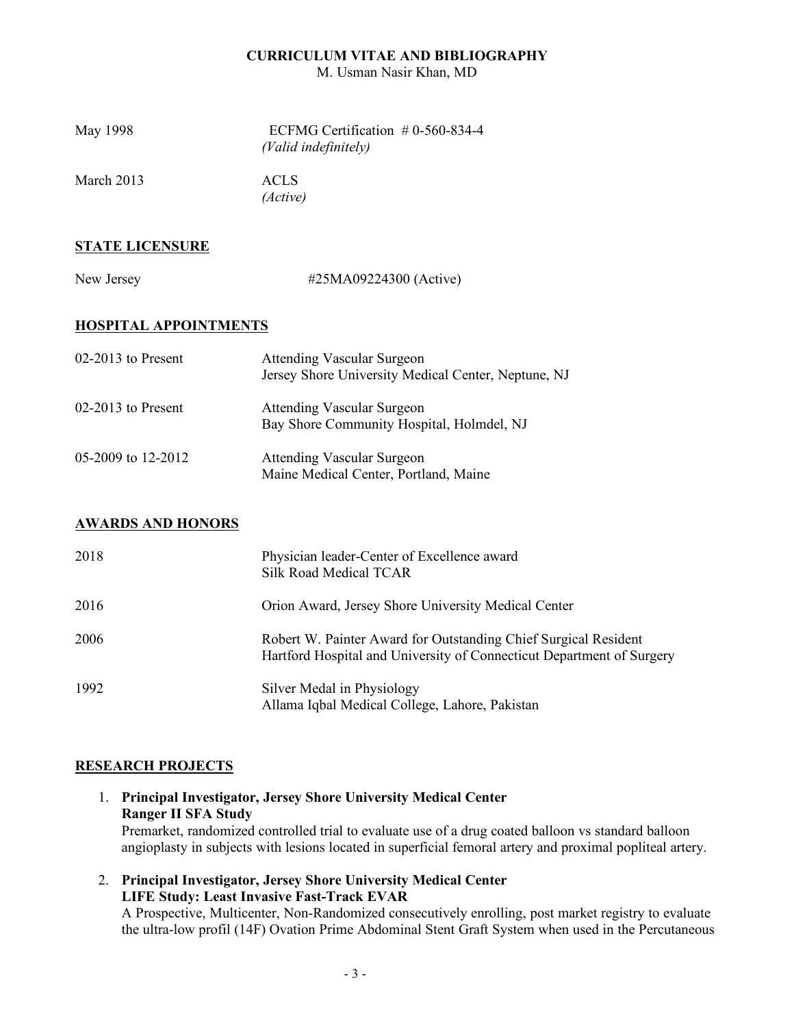M. Usman Nasir Khan, MD

| May 1998     | ECFMG Certification $#0-560-834-4$<br>(Valid indefinitely) |
|--------------|------------------------------------------------------------|
| March $2013$ | ACLS.<br>(Active)                                          |

# **STATE LICENSURE**

New Jersey #25MA09224300 (Active)

# **HOSPITAL APPOINTMENTS**

| $02-2013$ to Present | <b>Attending Vascular Surgeon</b><br>Jersey Shore University Medical Center, Neptune, NJ |
|----------------------|------------------------------------------------------------------------------------------|
| $02-2013$ to Present | <b>Attending Vascular Surgeon</b><br>Bay Shore Community Hospital, Holmdel, NJ           |
| 05-2009 to 12-2012   | <b>Attending Vascular Surgeon</b><br>Maine Medical Center, Portland, Maine               |

# **AWARDS AND HONORS**

| 2018 | Physician leader-Center of Excellence award<br><b>Silk Road Medical TCAR</b>                                                             |
|------|------------------------------------------------------------------------------------------------------------------------------------------|
| 2016 | Orion Award, Jersey Shore University Medical Center                                                                                      |
| 2006 | Robert W. Painter Award for Outstanding Chief Surgical Resident<br>Hartford Hospital and University of Connecticut Department of Surgery |
| 1992 | Silver Medal in Physiology<br>Allama Iqbal Medical College, Lahore, Pakistan                                                             |

## **RESEARCH PROJECTS**

- 1. **Principal Investigator, Jersey Shore University Medical Center Ranger II SFA Study** Premarket, randomized controlled trial to evaluate use of a drug coated balloon vs standard balloon angioplasty in subjects with lesions located in superficial femoral artery and proximal popliteal artery.
- 2. **Principal Investigator, Jersey Shore University Medical Center LIFE Study: Least Invasive Fast-Track EVAR**

A Prospective, Multicenter, Non-Randomized consecutively enrolling, post market registry to evaluate the ultra-low profil (14F) Ovation Prime Abdominal Stent Graft System when used in the Percutaneous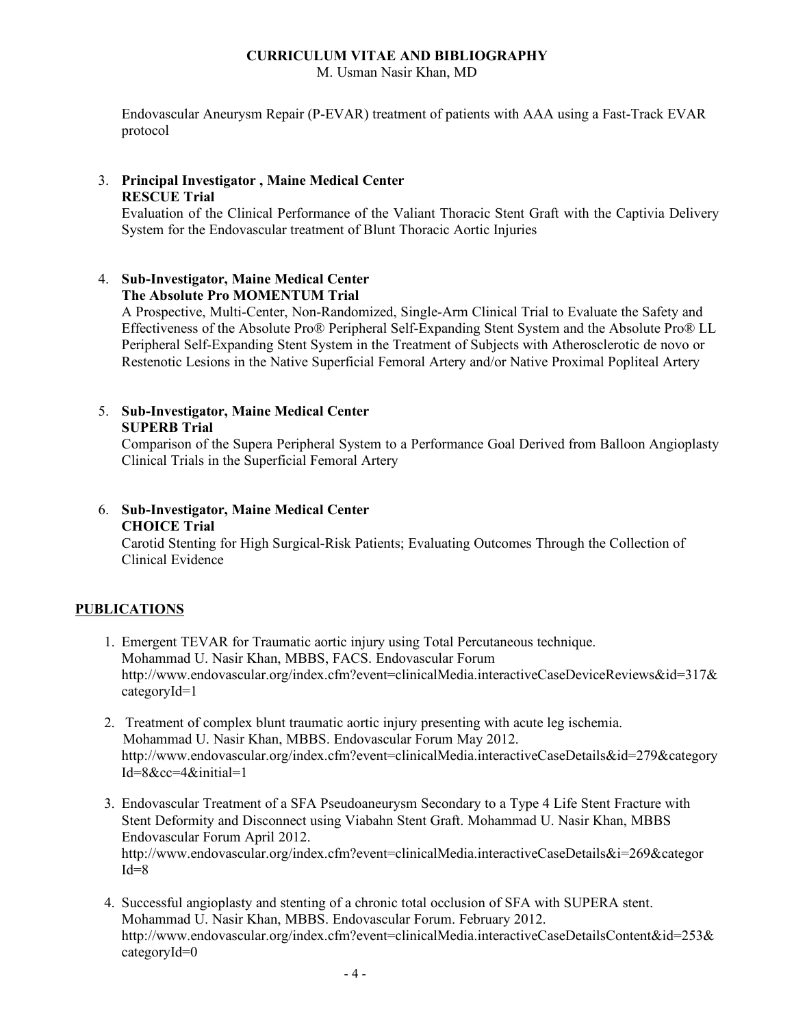M. Usman Nasir Khan, MD

Endovascular Aneurysm Repair (P-EVAR) treatment of patients with AAA using a Fast-Track EVAR protocol

## 3. **Principal Investigator , Maine Medical Center RESCUE Trial**

Evaluation of the Clinical Performance of the Valiant Thoracic Stent Graft with the Captivia Delivery System for the Endovascular treatment of Blunt Thoracic Aortic Injuries

## 4. **Sub-Investigator, Maine Medical Center The Absolute Pro MOMENTUM Trial**

A Prospective, Multi-Center, Non-Randomized, Single-Arm Clinical Trial to Evaluate the Safety and Effectiveness of the Absolute Pro® Peripheral Self-Expanding Stent System and the Absolute Pro® LL Peripheral Self-Expanding Stent System in the Treatment of Subjects with Atherosclerotic de novo or Restenotic Lesions in the Native Superficial Femoral Artery and/or Native Proximal Popliteal Artery

#### 5. **Sub-Investigator, Maine Medical Center SUPERB Trial**

Comparison of the Supera Peripheral System to a Performance Goal Derived from Balloon Angioplasty Clinical Trials in the Superficial Femoral Artery

# 6. **Sub-Investigator, Maine Medical Center CHOICE Trial**

Carotid Stenting for High Surgical-Risk Patients; Evaluating Outcomes Through the Collection of Clinical Evidence

# **PUBLICATIONS**

- 1. Emergent TEVAR for Traumatic aortic injury using Total Percutaneous technique. Mohammad U. Nasir Khan, MBBS, FACS. Endovascular Forum http://www.endovascular.org/index.cfm?event=clinicalMedia.interactiveCaseDeviceReviews&id=317& categoryId=1
- 2. Treatment of complex blunt traumatic aortic injury presenting with acute leg ischemia. Mohammad U. Nasir Khan, MBBS. Endovascular Forum May 2012. http://www.endovascular.org/index.cfm?event=clinicalMedia.interactiveCaseDetails&id=279&category Id=8&cc=4&initial=1
- 3. Endovascular Treatment of a SFA Pseudoaneurysm Secondary to a Type 4 Life Stent Fracture with Stent Deformity and Disconnect using Viabahn Stent Graft. Mohammad U. Nasir Khan, MBBS Endovascular Forum April 2012. http://www.endovascular.org/index.cfm?event=clinicalMedia.interactiveCaseDetails&i=269&categor  $Id=8$
- 4. Successful angioplasty and stenting of a chronic total occlusion of SFA with SUPERA stent. Mohammad U. Nasir Khan, MBBS. Endovascular Forum. February 2012. http://www.endovascular.org/index.cfm?event=clinicalMedia.interactiveCaseDetailsContent&id=253& categoryId=0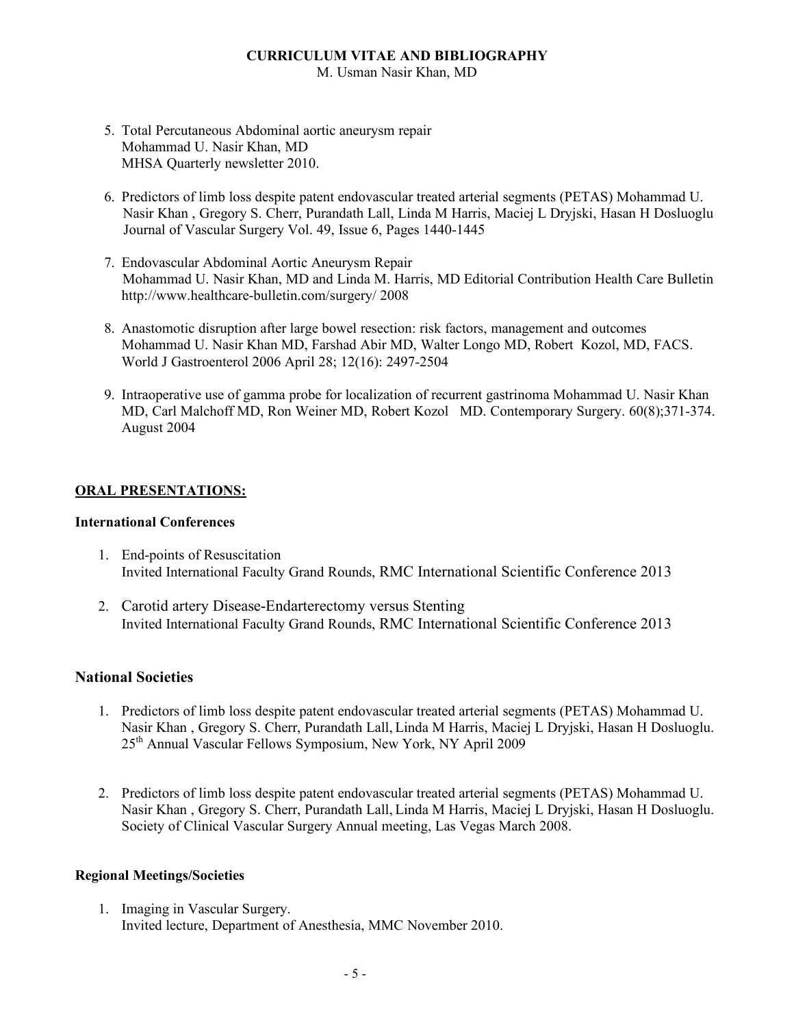M. Usman Nasir Khan, MD

- 5. Total Percutaneous Abdominal aortic aneurysm repair Mohammad U. Nasir Khan, MD MHSA Quarterly newsletter 2010.
- 6. Predictors of limb loss despite patent endovascular treated arterial segments (PETAS) Mohammad U. Nasir Khan , Gregory S. Cherr, Purandath Lall, Linda M Harris, Maciej L Dryjski, Hasan H Dosluoglu Journal of Vascular Surgery Vol. 49, Issue 6, Pages 1440-1445
- 7. Endovascular Abdominal Aortic Aneurysm Repair Mohammad U. Nasir Khan, MD and Linda M. Harris, MD Editorial Contribution Health Care Bulletin http://www.healthcare-bulletin.com/surgery/ 2008
- 8. Anastomotic disruption after large bowel resection: risk factors, management and outcomes Mohammad U. Nasir Khan MD, Farshad Abir MD, Walter Longo MD, Robert Kozol, MD, FACS. World J Gastroenterol 2006 April 28; 12(16): 2497-2504
- 9. Intraoperative use of gamma probe for localization of recurrent gastrinoma Mohammad U. Nasir Khan MD, Carl Malchoff MD, Ron Weiner MD, Robert Kozol MD. Contemporary Surgery. 60(8);371-374. August 2004

## **ORAL PRESENTATIONS:**

## **International Conferences**

- 1. End-points of Resuscitation Invited International Faculty Grand Rounds, RMC International Scientific Conference 2013
- 2. Carotid artery Disease-Endarterectomy versus Stenting Invited International Faculty Grand Rounds, RMC International Scientific Conference 2013

## **National Societies**

- 1. Predictors of limb loss despite patent endovascular treated arterial segments (PETAS) Mohammad U. Nasir Khan , Gregory S. Cherr, Purandath Lall, Linda M Harris, Maciej L Dryjski, Hasan H Dosluoglu. 25th Annual Vascular Fellows Symposium, New York, NY April 2009
- 2. Predictors of limb loss despite patent endovascular treated arterial segments (PETAS) Mohammad U. Nasir Khan , Gregory S. Cherr, Purandath Lall, Linda M Harris, Maciej L Dryjski, Hasan H Dosluoglu. Society of Clinical Vascular Surgery Annual meeting, Las Vegas March 2008.

## **Regional Meetings/Societies**

1. Imaging in Vascular Surgery. Invited lecture, Department of Anesthesia, MMC November 2010.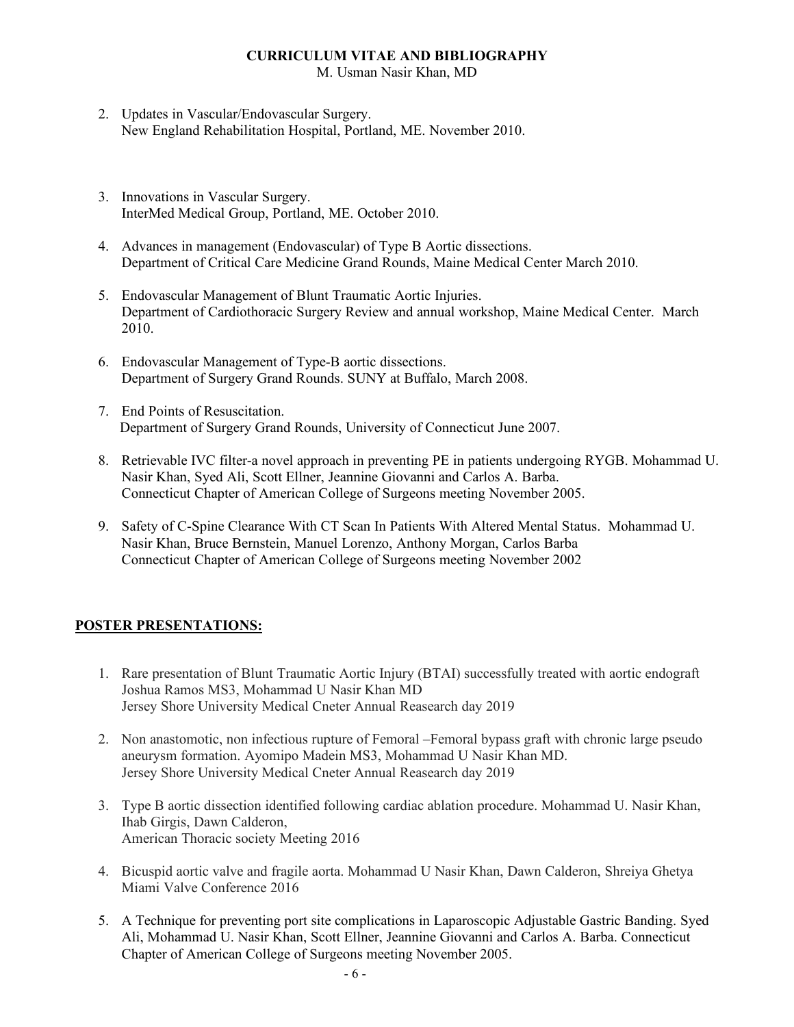M. Usman Nasir Khan, MD

- 2. Updates in Vascular/Endovascular Surgery. New England Rehabilitation Hospital, Portland, ME. November 2010.
- 3. Innovations in Vascular Surgery. InterMed Medical Group, Portland, ME. October 2010.
- 4. Advances in management (Endovascular) of Type B Aortic dissections. Department of Critical Care Medicine Grand Rounds, Maine Medical Center March 2010.
- 5. Endovascular Management of Blunt Traumatic Aortic Injuries. Department of Cardiothoracic Surgery Review and annual workshop, Maine Medical Center. March 2010.
- 6. Endovascular Management of Type-B aortic dissections. Department of Surgery Grand Rounds. SUNY at Buffalo, March 2008.
- 7. End Points of Resuscitation. Department of Surgery Grand Rounds, University of Connecticut June 2007.
- 8. Retrievable IVC filter-a novel approach in preventing PE in patients undergoing RYGB. Mohammad U. Nasir Khan, Syed Ali, Scott Ellner, Jeannine Giovanni and Carlos A. Barba. Connecticut Chapter of American College of Surgeons meeting November 2005.
- 9. Safety of C-Spine Clearance With CT Scan In Patients With Altered Mental Status. Mohammad U. Nasir Khan, Bruce Bernstein, Manuel Lorenzo, Anthony Morgan, Carlos Barba Connecticut Chapter of American College of Surgeons meeting November 2002

# **POSTER PRESENTATIONS:**

- 1. Rare presentation of Blunt Traumatic Aortic Injury (BTAI) successfully treated with aortic endograft Joshua Ramos MS3, Mohammad U Nasir Khan MD Jersey Shore University Medical Cneter Annual Reasearch day 2019
- 2. Non anastomotic, non infectious rupture of Femoral –Femoral bypass graft with chronic large pseudo aneurysm formation. Ayomipo Madein MS3, Mohammad U Nasir Khan MD. Jersey Shore University Medical Cneter Annual Reasearch day 2019
- 3. Type B aortic dissection identified following cardiac ablation procedure. Mohammad U. Nasir Khan, Ihab Girgis, Dawn Calderon, American Thoracic society Meeting 2016
- 4. Bicuspid aortic valve and fragile aorta. Mohammad U Nasir Khan, Dawn Calderon, Shreiya Ghetya Miami Valve Conference 2016
- 5. A Technique for preventing port site complications in Laparoscopic Adjustable Gastric Banding. Syed Ali, Mohammad U. Nasir Khan, Scott Ellner, Jeannine Giovanni and Carlos A. Barba. Connecticut Chapter of American College of Surgeons meeting November 2005.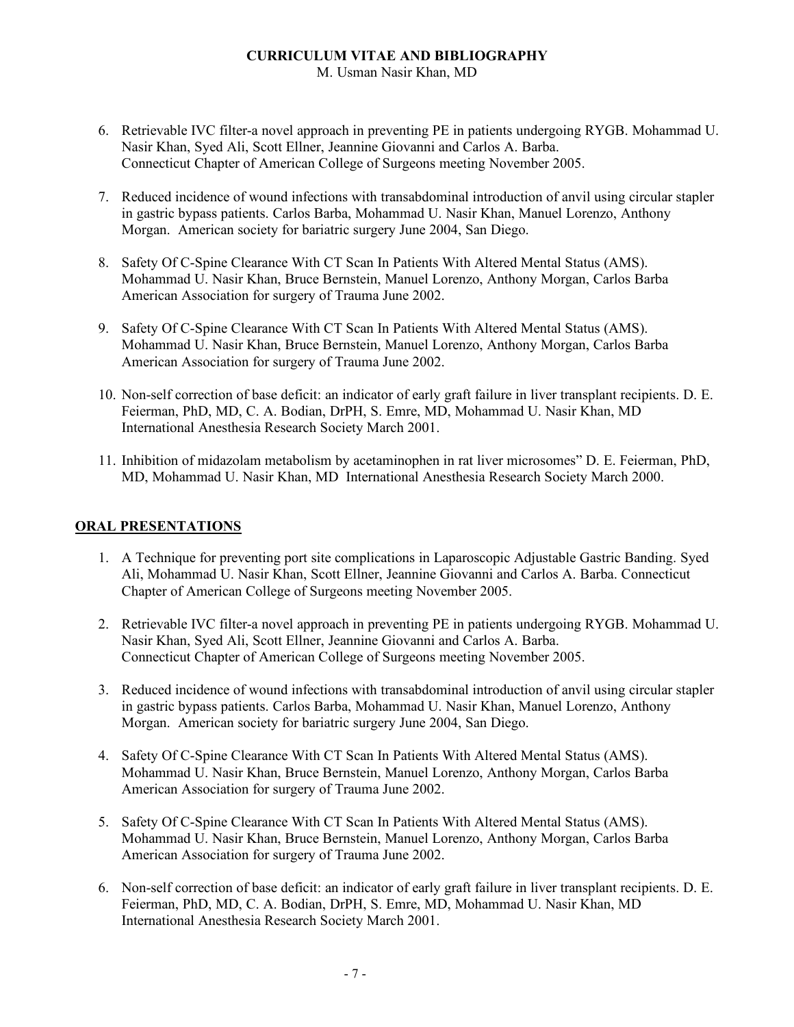M. Usman Nasir Khan, MD

- 6. Retrievable IVC filter-a novel approach in preventing PE in patients undergoing RYGB. Mohammad U. Nasir Khan, Syed Ali, Scott Ellner, Jeannine Giovanni and Carlos A. Barba. Connecticut Chapter of American College of Surgeons meeting November 2005.
- 7. Reduced incidence of wound infections with transabdominal introduction of anvil using circular stapler in gastric bypass patients. Carlos Barba, Mohammad U. Nasir Khan, Manuel Lorenzo, Anthony Morgan. American society for bariatric surgery June 2004, San Diego.
- 8. Safety Of C-Spine Clearance With CT Scan In Patients With Altered Mental Status (AMS). Mohammad U. Nasir Khan, Bruce Bernstein, Manuel Lorenzo, Anthony Morgan, Carlos Barba American Association for surgery of Trauma June 2002.
- 9. Safety Of C-Spine Clearance With CT Scan In Patients With Altered Mental Status (AMS). Mohammad U. Nasir Khan, Bruce Bernstein, Manuel Lorenzo, Anthony Morgan, Carlos Barba American Association for surgery of Trauma June 2002.
- 10. Non-self correction of base deficit: an indicator of early graft failure in liver transplant recipients. D. E. Feierman, PhD, MD, C. A. Bodian, DrPH, S. Emre, MD, Mohammad U. Nasir Khan, MD International Anesthesia Research Society March 2001.
- 11. Inhibition of midazolam metabolism by acetaminophen in rat liver microsomes" D. E. Feierman, PhD, MD, Mohammad U. Nasir Khan, MD International Anesthesia Research Society March 2000.

# **ORAL PRESENTATIONS**

- 1. A Technique for preventing port site complications in Laparoscopic Adjustable Gastric Banding. Syed Ali, Mohammad U. Nasir Khan, Scott Ellner, Jeannine Giovanni and Carlos A. Barba. Connecticut Chapter of American College of Surgeons meeting November 2005.
- 2. Retrievable IVC filter-a novel approach in preventing PE in patients undergoing RYGB. Mohammad U. Nasir Khan, Syed Ali, Scott Ellner, Jeannine Giovanni and Carlos A. Barba. Connecticut Chapter of American College of Surgeons meeting November 2005.
- 3. Reduced incidence of wound infections with transabdominal introduction of anvil using circular stapler in gastric bypass patients. Carlos Barba, Mohammad U. Nasir Khan, Manuel Lorenzo, Anthony Morgan. American society for bariatric surgery June 2004, San Diego.
- 4. Safety Of C-Spine Clearance With CT Scan In Patients With Altered Mental Status (AMS). Mohammad U. Nasir Khan, Bruce Bernstein, Manuel Lorenzo, Anthony Morgan, Carlos Barba American Association for surgery of Trauma June 2002.
- 5. Safety Of C-Spine Clearance With CT Scan In Patients With Altered Mental Status (AMS). Mohammad U. Nasir Khan, Bruce Bernstein, Manuel Lorenzo, Anthony Morgan, Carlos Barba American Association for surgery of Trauma June 2002.
- 6. Non-self correction of base deficit: an indicator of early graft failure in liver transplant recipients. D. E. Feierman, PhD, MD, C. A. Bodian, DrPH, S. Emre, MD, Mohammad U. Nasir Khan, MD International Anesthesia Research Society March 2001.